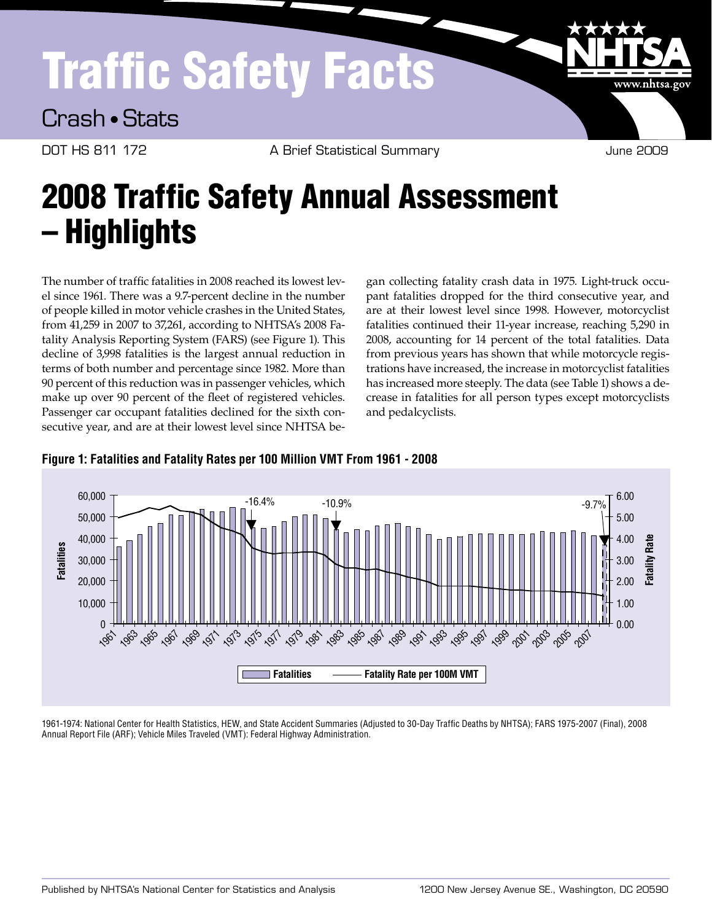# Traffic Safety Facts

Crash • Stats

DOT HS 811 172 A Brief Statistical Summary and the Summary June 2009

www.nhtsa.gov

# 2008 Traffic Safety Annual Assessment – Highlights

The number of traffic fatalities in 2008 reached its lowest level since 1961. There was a 9.7-percent decline in the number of people killed in motor vehicle crashes in the United States, from 41,259 in 2007 to 37,261, according to NHTSA's 2008 Fatality Analysis Reporting System (FARS) (see Figure 1). This decline of 3,998 fatalities is the largest annual reduction in terms of both number and percentage since 1982. More than 90 percent of this reduction was in passenger vehicles, which make up over 90 percent of the fleet of registered vehicles. Passenger car occupant fatalities declined for the sixth consecutive year, and are at their lowest level since NHTSA be-

gan collecting fatality crash data in 1975. Light-truck occupant fatalities dropped for the third consecutive year, and are at their lowest level since 1998. However, motorcyclist fatalities continued their 11-year increase, reaching 5,290 in 2008, accounting for 14 percent of the total fatalities. Data from previous years has shown that while motorcycle registrations have increased, the increase in motorcyclist fatalities has increased more steeply. The data (see Table 1) shows a decrease in fatalities for all person types except motorcyclists and pedalcyclists.



#### **Figure 1: Fatalities and Fatality Rates per 100 Million VMT From 1961 - 2008**

1961-1974: National Center for Health Statistics, HEW, and State Accident Summaries (Adjusted to 30-Day Traffic Deaths by NHTSA); FARS 1975-2007 (Final), 2008 Annual Report File (ARF); Vehicle Miles Traveled (VMT): Federal Highway Administration.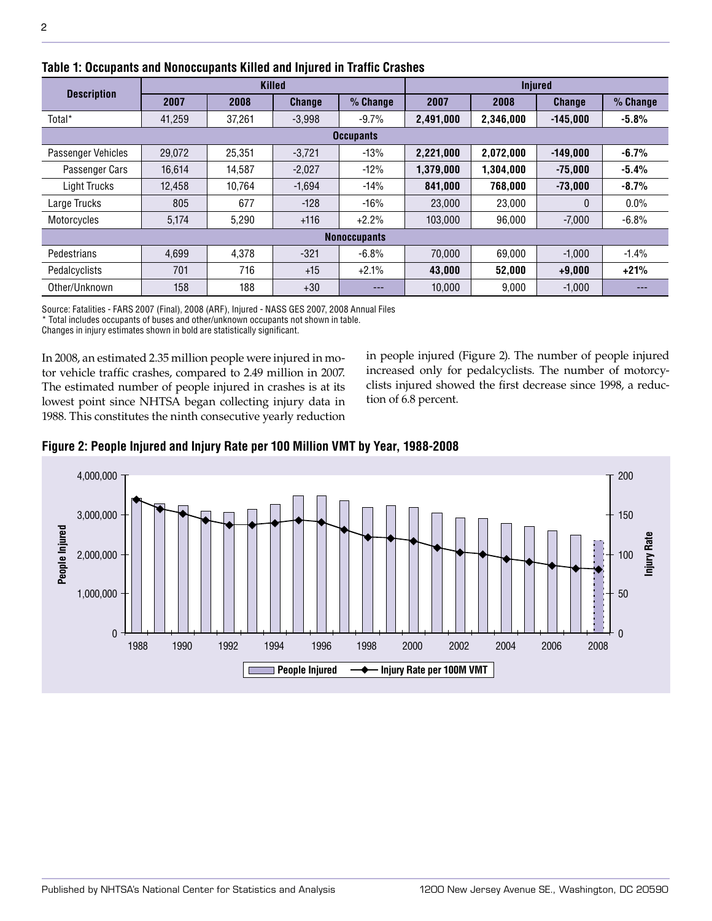| <b>Description</b> | <b>Killed</b> |        |               |                     | <b>Injured</b> |           |               |          |
|--------------------|---------------|--------|---------------|---------------------|----------------|-----------|---------------|----------|
|                    | 2007          | 2008   | <b>Change</b> | % Change            | 2007           | 2008      | <b>Change</b> | % Change |
| Total*             | 41,259        | 37,261 | $-3,998$      | $-9.7%$             | 2,491,000      | 2.346.000 | $-145.000$    | $-5.8%$  |
| <b>Occupants</b>   |               |        |               |                     |                |           |               |          |
| Passenger Vehicles | 29.072        | 25.351 | $-3.721$      | $-13%$              | 2,221,000      | 2,072,000 | $-149.000$    | $-6.7\%$ |
| Passenger Cars     | 16.614        | 14.587 | $-2,027$      | $-12%$              | 1,379,000      | 1,304,000 | $-75.000$     | $-5.4%$  |
| Light Trucks       | 12.458        | 10.764 | $-1,694$      | $-14%$              | 841,000        | 768.000   | $-73,000$     | $-8.7%$  |
| Large Trucks       | 805           | 677    | $-128$        | $-16%$              | 23,000         | 23,000    | 0             | $0.0\%$  |
| Motorcycles        | 5,174         | 5,290  | $+116$        | $+2.2%$             | 103.000        | 96,000    | $-7,000$      | $-6.8\%$ |
|                    |               |        |               | <b>Nonoccupants</b> |                |           |               |          |
| Pedestrians        | 4,699         | 4,378  | $-321$        | $-6.8%$             | 70.000         | 69.000    | $-1.000$      | $-1.4%$  |
| Pedalcyclists      | 701           | 716    | $+15$         | $+2.1%$             | 43,000         | 52.000    | $+9,000$      | $+21%$   |
| Other/Unknown      | 158           | 188    | $+30$         | ---                 | 10,000         | 9,000     | $-1,000$      | ---      |

### **Table 1: Occupants and Nonoccupants Killed and Injured in Traffic Crashes**

Source: Fatalities - FARS 2007 (Final), 2008 (ARF), Injured - NASS GES 2007, 2008 Annual Files \* Total includes occupants of buses and other/unknown occupants not shown in table.

Changes in injury estimates shown in bold are statistically significant.

In 2008, an estimated 2.35 million people were injured in motor vehicle traffic crashes, compared to 2.49 million in 2007. The estimated number of people injured in crashes is at its lowest point since NHTSA began collecting injury data in 1988. This constitutes the ninth consecutive yearly reduction in people injured (Figure 2). The number of people injured increased only for pedalcyclists. The number of motorcyclists injured showed the first decrease since 1998, a reduction of 6.8 percent.



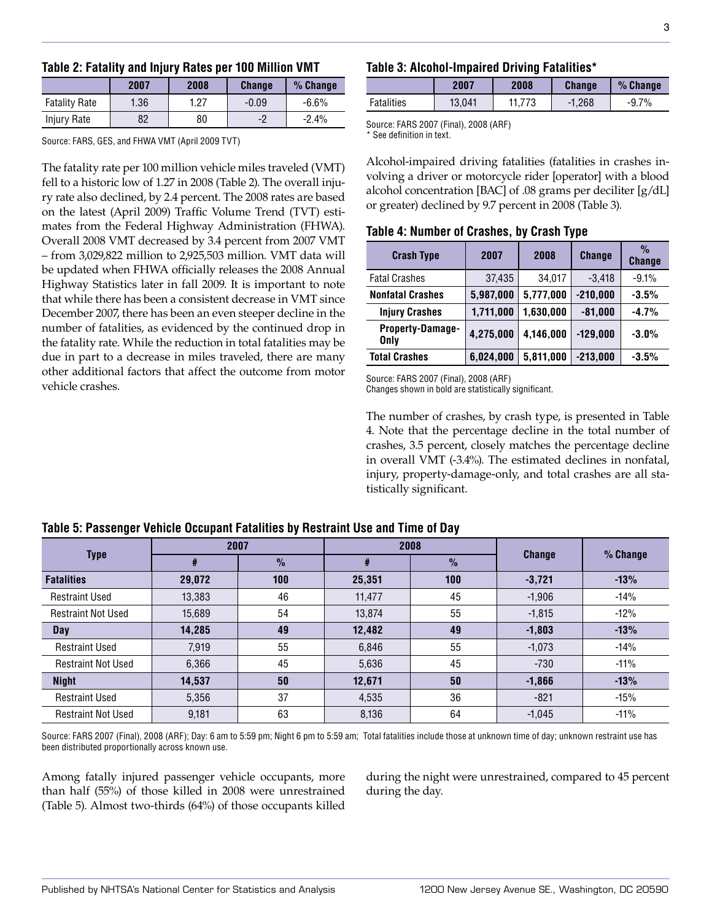|  |  | Table 2: Fatality and Injury Rates per 100 Million VMT |  |  |  |
|--|--|--------------------------------------------------------|--|--|--|
|--|--|--------------------------------------------------------|--|--|--|

|                      | 2007 | 2008 | <b>Change</b> | $%$ Change |
|----------------------|------|------|---------------|------------|
| <b>Fatality Rate</b> | 1.36 | 1.27 | $-0.09$       | $-6.6%$    |
| Injury Rate          | 82   | 80   | -2            | $-2.4%$    |

Source: FARS, GES, and FHWA VMT (April 2009 TVT)

The fatality rate per 100 million vehicle miles traveled (VMT) fell to a historic low of 1.27 in 2008 (Table 2). The overall injury rate also declined, by 2.4 percent. The 2008 rates are based on the latest (April 2009) Traffic Volume Trend (TVT) estimates from the Federal Highway Administration (FHWA). Overall 2008 VMT decreased by 3.4 percent from 2007 VMT – from 3,029,822 million to 2,925,503 million. VMT data will be updated when FHWA officially releases the 2008 Annual Highway Statistics later in fall 2009. It is important to note that while there has been a consistent decrease in VMT since December 2007, there has been an even steeper decline in the number of fatalities, as evidenced by the continued drop in the fatality rate. While the reduction in total fatalities may be due in part to a decrease in miles traveled, there are many other additional factors that affect the outcome from motor vehicle crashes.

#### **Table 3: Alcohol-Impaired Driving Fatalities\***

|            | 2007   | 2008 | <b>Change</b> | % Change  |
|------------|--------|------|---------------|-----------|
| Fatalities | 13.041 |      | $-1.268$      | 7%<br>-9. |

Source: FARS 2007 (Final), 2008 (ARF) \* See definition in text.

Alcohol-impaired driving fatalities (fatalities in crashes involving a driver or motorcycle rider [operator] with a blood alcohol concentration [BAC] of .08 grams per deciliter [g/dL] or greater) declined by 9.7 percent in 2008 (Table 3).

#### **Table 4: Number of Crashes, by Crash Type**

| <b>Crash Type</b>        | 2007      | 2008      | <b>Change</b> | $\frac{0}{2}$<br><b>Change</b> |
|--------------------------|-----------|-----------|---------------|--------------------------------|
| <b>Fatal Crashes</b>     | 37,435    | 34,017    | $-3,418$      | $-9.1%$                        |
| <b>Nonfatal Crashes</b>  | 5,987,000 | 5,777,000 | $-210,000$    | $-3.5%$                        |
| <b>Injury Crashes</b>    | 1,711,000 | 1,630,000 | $-81,000$     | $-4.7%$                        |
| Property-Damage-<br>Only | 4,275,000 | 4,146,000 | $-129,000$    | $-3.0%$                        |
| <b>Total Crashes</b>     | 6,024,000 | 5,811,000 | $-213,000$    | $-3.5%$                        |

Source: FARS 2007 (Final), 2008 (ARF)

Changes shown in bold are statistically significant.

The number of crashes, by crash type, is presented in Table 4. Note that the percentage decline in the total number of crashes, 3.5 percent, closely matches the percentage decline in overall VMT (-3.4%). The estimated declines in nonfatal, injury, property-damage-only, and total crashes are all statistically significant.

| <b>Type</b>               | 2007   |               | 2008   |               | <b>Change</b> | % Change |  |  |
|---------------------------|--------|---------------|--------|---------------|---------------|----------|--|--|
|                           | #      | $\frac{1}{2}$ | #      | $\frac{9}{6}$ |               |          |  |  |
| <b>Fatalities</b>         | 29,072 | 100           | 25,351 | 100           | $-3,721$      | $-13%$   |  |  |
| <b>Restraint Used</b>     | 13,383 | 46            | 11,477 | 45            | $-1,906$      | $-14%$   |  |  |
| <b>Restraint Not Used</b> | 15,689 | 54            | 13,874 | 55            | $-1,815$      | $-12%$   |  |  |
| Day                       | 14,285 | 49            | 12,482 | 49            | $-1,803$      | $-13%$   |  |  |
| <b>Restraint Used</b>     | 7,919  | 55            | 6,846  | 55            | $-1,073$      | $-14%$   |  |  |
| <b>Restraint Not Used</b> | 6,366  | 45            | 5,636  | 45            | $-730$        | $-11%$   |  |  |
| <b>Night</b>              | 14,537 | 50            | 12,671 | 50            | $-1,866$      | $-13%$   |  |  |
| <b>Restraint Used</b>     | 5,356  | 37            | 4,535  | 36            | $-821$        | $-15%$   |  |  |
| <b>Restraint Not Used</b> | 9,181  | 63            | 8,136  | 64            | $-1,045$      | $-11%$   |  |  |

#### **Table 5: Passenger Vehicle Occupant Fatalities by Restraint Use and Time of Day**

Source: FARS 2007 (Final), 2008 (ARF); Day: 6 am to 5:59 pm; Night 6 pm to 5:59 am; Total fatalities include those at unknown time of day; unknown restraint use has been distributed proportionally across known use.

Among fatally injured passenger vehicle occupants, more than half (55%) of those killed in 2008 were unrestrained (Table 5). Almost two-thirds (64%) of those occupants killed during the night were unrestrained, compared to 45 percent during the day.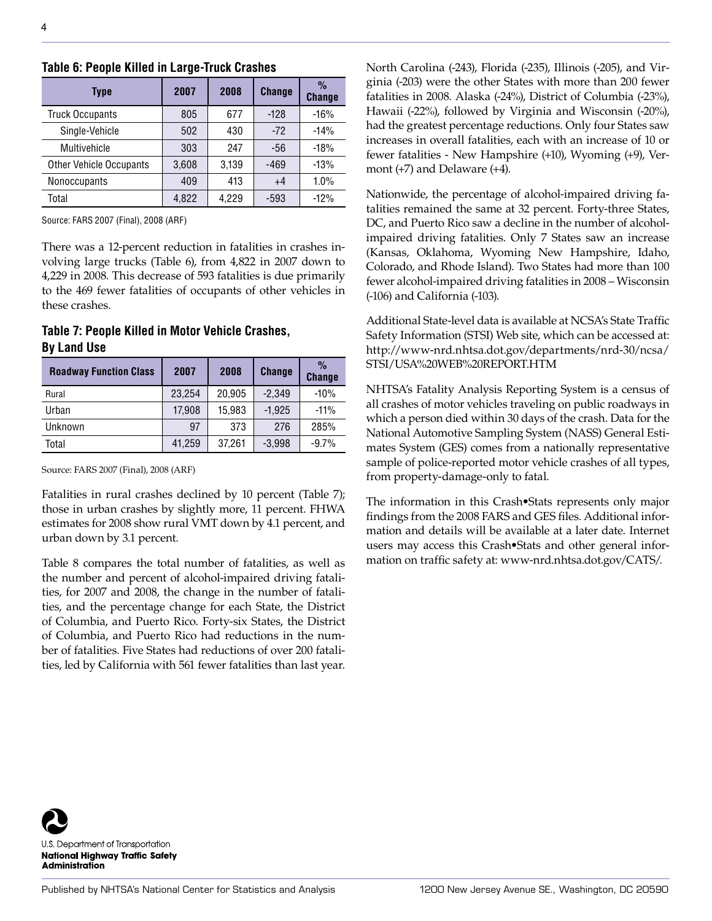| Type                           | 2007  | 2008  | <b>Change</b> | $\frac{0}{0}$<br><b>Change</b> |
|--------------------------------|-------|-------|---------------|--------------------------------|
| <b>Truck Occupants</b>         | 805   | 677   | $-128$        | $-16%$                         |
| Single-Vehicle                 | 502   | 430   | $-72$         | $-14%$                         |
| Multivehicle                   | 303   | 247   | -56           | $-18%$                         |
| <b>Other Vehicle Occupants</b> | 3,608 | 3,139 | $-469$        | $-13%$                         |
| Nonoccupants                   | 409   | 413   | $+4$          | 1.0%                           |
| Total                          | 4.822 | 4,229 | $-593$        | $-12%$                         |

#### **Table 6: People Killed in Large-Truck Crashes**

Source: FARS 2007 (Final), 2008 (ARF)

There was a 12-percent reduction in fatalities in crashes involving large trucks (Table 6), from 4,822 in 2007 down to 4,229 in 2008. This decrease of 593 fatalities is due primarily to the 469 fewer fatalities of occupants of other vehicles in these crashes.

#### **Table 7: People Killed in Motor Vehicle Crashes, By Land Use**

| <b>Roadway Function Class</b> | 2007   | 2008   | <b>Change</b> | $\frac{0}{0}$<br><b>Change</b> |
|-------------------------------|--------|--------|---------------|--------------------------------|
| Rural                         | 23,254 | 20,905 | $-2.349$      | $-10%$                         |
| Urban                         | 17,908 | 15,983 | $-1.925$      | $-11%$                         |
| Unknown                       | 97     | 373    | 276           | 285%                           |
| Total                         | 41,259 | 37,261 | $-3,998$      | $-9.7%$                        |

Source: FARS 2007 (Final), 2008 (ARF)

Fatalities in rural crashes declined by 10 percent (Table 7); those in urban crashes by slightly more, 11 percent. FHWA estimates for 2008 show rural VMT down by 4.1 percent, and urban down by 3.1 percent.

Table 8 compares the total number of fatalities, as well as the number and percent of alcohol-impaired driving fatalities, for 2007 and 2008, the change in the number of fatalities, and the percentage change for each State, the District of Columbia, and Puerto Rico. Forty-six States, the District of Columbia, and Puerto Rico had reductions in the number of fatalities. Five States had reductions of over 200 fatalities, led by California with 561 fewer fatalities than last year. North Carolina (-243), Florida (-235), Illinois (-205), and Virginia (-203) were the other States with more than 200 fewer fatalities in 2008. Alaska (-24%), District of Columbia (-23%), Hawaii (-22%), followed by Virginia and Wisconsin (-20%), had the greatest percentage reductions. Only four States saw increases in overall fatalities, each with an increase of 10 or fewer fatalities - New Hampshire (+10), Wyoming (+9), Vermont (+7) and Delaware (+4).

Nationwide, the percentage of alcohol-impaired driving fatalities remained the same at 32 percent. Forty-three States, DC, and Puerto Rico saw a decline in the number of alcoholimpaired driving fatalities. Only 7 States saw an increase (Kansas, Oklahoma, Wyoming New Hampshire, Idaho, Colorado, and Rhode Island). Two States had more than 100 fewer alcohol-impaired driving fatalities in 2008 – Wisconsin (-106) and California (-103).

Additional State-level data is available at NCSA's State Traffic Safety Information (STSI) Web site, which can be accessed at: [http://www-nrd.nhtsa.dot.gov/departments/nrd-30/ncsa/](http://www-nrd.nhtsa.dot.gov/departments/nrd-30/ncsa/STSI/USA%20WEB%20REPORT.HTM) [STSI/USA%20WEB%20REPORT.HTM](http://www-nrd.nhtsa.dot.gov/departments/nrd-30/ncsa/STSI/USA%20WEB%20REPORT.HTM)

NHTSA's Fatality Analysis Reporting System is a census of all crashes of motor vehicles traveling on public roadways in which a person died within 30 days of the crash. Data for the National Automotive Sampling System (NASS) General Estimates System (GES) comes from a nationally representative sample of police-reported motor vehicle crashes of all types, from property-damage-only to fatal.

The information in this Crash•Stats represents only major findings from the 2008 FARS and GES files. Additional information and details will be available at a later date. Internet users may access this Crash•Stats and other general information on traffic safety at: <www-nrd.nhtsa.dot.gov/CATS/>.

U.S. Department of Transportation **National Highway Traffic Safety Administration**